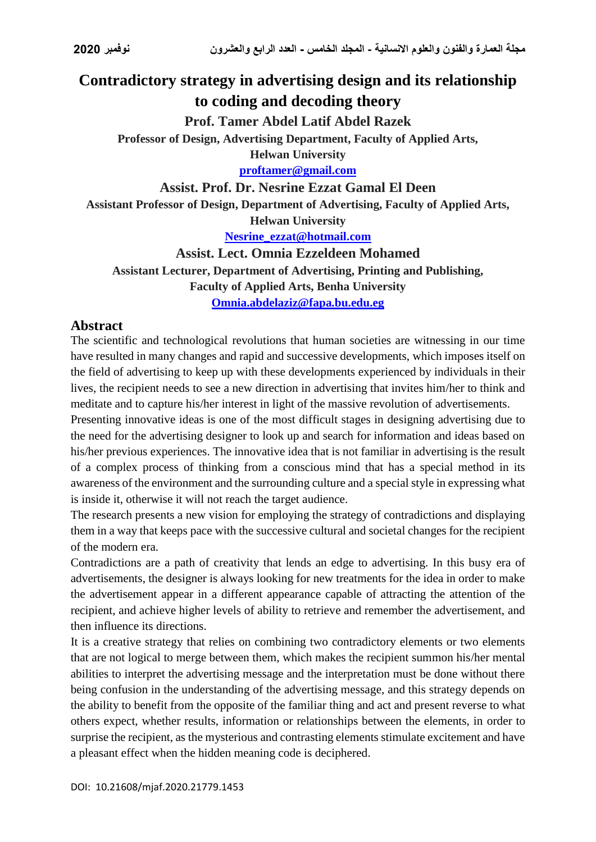# **Contradictory strategy in advertising design and its relationship to coding and decoding theory**

**Prof. Tamer Abdel Latif Abdel Razek**

**Professor of Design, Advertising Department, Faculty of Applied Arts,**

**Helwan University [proftamer@gmail.com](mailto:proftamer@gmail.com)**

#### **Assist. Prof. Dr. Nesrine Ezzat Gamal El Deen**

**Assistant Professor of Design, Department of Advertising, Faculty of Applied Arts,** 

**Helwan University**

**[Nesrine\\_ezzat@hotmail.com](mailto:Nesrine_ezzat@hotmail.com)**

**Assist. Lect. Omnia Ezzeldeen Mohamed Assistant Lecturer, Department of Advertising, Printing and Publishing, Faculty of Applied Arts, Benha University [Omnia.abdelaziz@fapa.bu.edu.eg](mailto:Omnia.abdelaziz@fapa.bu.edu.eg)**

#### **Abstract**

The scientific and technological revolutions that human societies are witnessing in our time have resulted in many changes and rapid and successive developments, which imposes itself on the field of advertising to keep up with these developments experienced by individuals in their lives, the recipient needs to see a new direction in advertising that invites him/her to think and meditate and to capture his/her interest in light of the massive revolution of advertisements.

Presenting innovative ideas is one of the most difficult stages in designing advertising due to the need for the advertising designer to look up and search for information and ideas based on his/her previous experiences. The innovative idea that is not familiar in advertising is the result of a complex process of thinking from a conscious mind that has a special method in its awareness of the environment and the surrounding culture and a special style in expressing what is inside it, otherwise it will not reach the target audience.

The research presents a new vision for employing the strategy of contradictions and displaying them in a way that keeps pace with the successive cultural and societal changes for the recipient of the modern era.

Contradictions are a path of creativity that lends an edge to advertising. In this busy era of advertisements, the designer is always looking for new treatments for the idea in order to make the advertisement appear in a different appearance capable of attracting the attention of the recipient, and achieve higher levels of ability to retrieve and remember the advertisement, and then influence its directions.

It is a creative strategy that relies on combining two contradictory elements or two elements that are not logical to merge between them, which makes the recipient summon his/her mental abilities to interpret the advertising message and the interpretation must be done without there being confusion in the understanding of the advertising message, and this strategy depends on the ability to benefit from the opposite of the familiar thing and act and present reverse to what others expect, whether results, information or relationships between the elements, in order to surprise the recipient, as the mysterious and contrasting elements stimulate excitement and have a pleasant effect when the hidden meaning code is deciphered.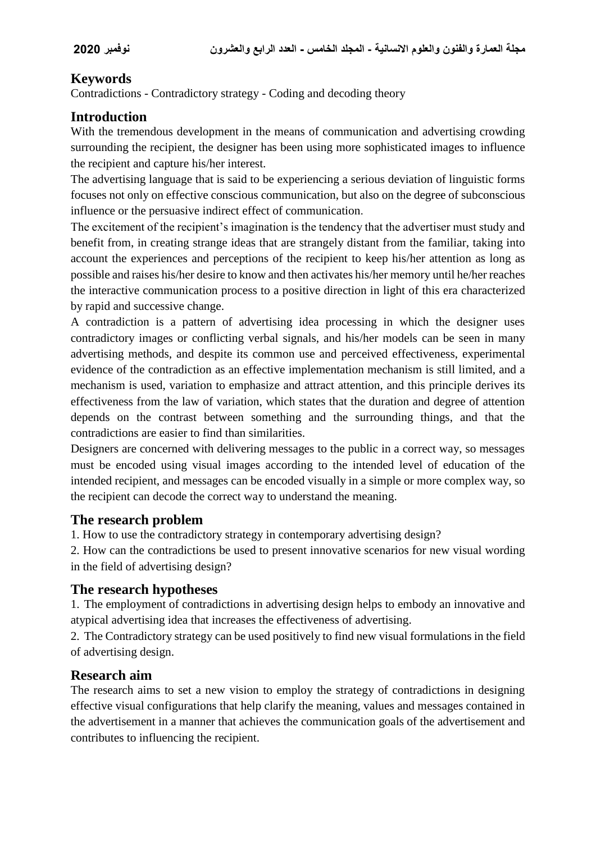# **Keywords**

Contradictions - Contradictory strategy - Coding and decoding theory

# **Introduction**

With the tremendous development in the means of communication and advertising crowding surrounding the recipient, the designer has been using more sophisticated images to influence the recipient and capture his/her interest.

The advertising language that is said to be experiencing a serious deviation of linguistic forms focuses not only on effective conscious communication, but also on the degree of subconscious influence or the persuasive indirect effect of communication.

The excitement of the recipient's imagination is the tendency that the advertiser must study and benefit from, in creating strange ideas that are strangely distant from the familiar, taking into account the experiences and perceptions of the recipient to keep his/her attention as long as possible and raises his/her desire to know and then activates his/her memory until he/her reaches the interactive communication process to a positive direction in light of this era characterized by rapid and successive change.

A contradiction is a pattern of advertising idea processing in which the designer uses contradictory images or conflicting verbal signals, and his/her models can be seen in many advertising methods, and despite its common use and perceived effectiveness, experimental evidence of the contradiction as an effective implementation mechanism is still limited, and a mechanism is used, variation to emphasize and attract attention, and this principle derives its effectiveness from the law of variation, which states that the duration and degree of attention depends on the contrast between something and the surrounding things, and that the contradictions are easier to find than similarities.

Designers are concerned with delivering messages to the public in a correct way, so messages must be encoded using visual images according to the intended level of education of the intended recipient, and messages can be encoded visually in a simple or more complex way, so the recipient can decode the correct way to understand the meaning.

# **The research problem**

1. How to use the contradictory strategy in contemporary advertising design?

2. How can the contradictions be used to present innovative scenarios for new visual wording in the field of advertising design?

# **The research hypotheses**

1. The employment of contradictions in advertising design helps to embody an innovative and atypical advertising idea that increases the effectiveness of advertising.

2. The Contradictory strategy can be used positively to find new visual formulations in the field of advertising design.

# **Research aim**

The research aims to set a new vision to employ the strategy of contradictions in designing effective visual configurations that help clarify the meaning, values and messages contained in the advertisement in a manner that achieves the communication goals of the advertisement and contributes to influencing the recipient.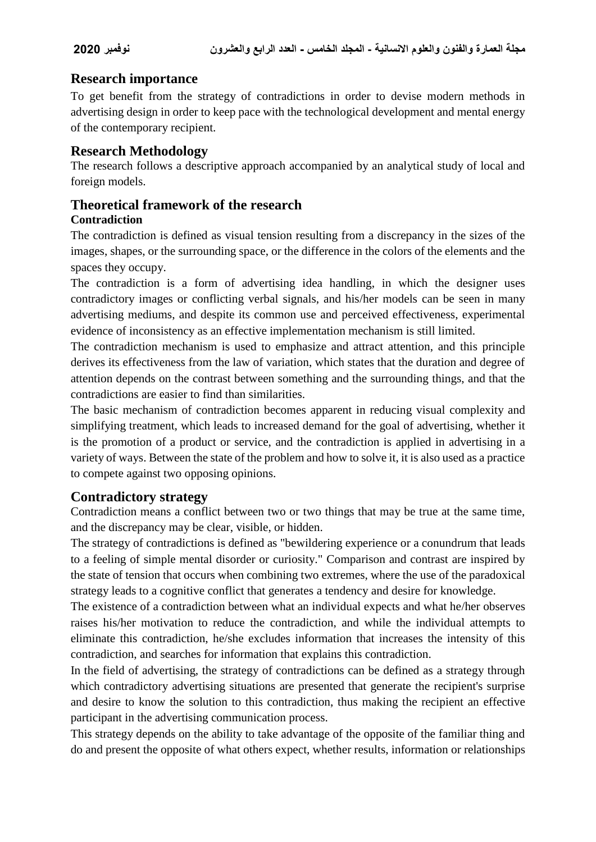# **Research importance**

To get benefit from the strategy of contradictions in order to devise modern methods in advertising design in order to keep pace with the technological development and mental energy of the contemporary recipient.

#### **Research Methodology**

The research follows a descriptive approach accompanied by an analytical study of local and foreign models.

# **Theoretical framework of the research**

#### **Contradiction**

The contradiction is defined as visual tension resulting from a discrepancy in the sizes of the images, shapes, or the surrounding space, or the difference in the colors of the elements and the spaces they occupy.

The contradiction is a form of advertising idea handling, in which the designer uses contradictory images or conflicting verbal signals, and his/her models can be seen in many advertising mediums, and despite its common use and perceived effectiveness, experimental evidence of inconsistency as an effective implementation mechanism is still limited.

The contradiction mechanism is used to emphasize and attract attention, and this principle derives its effectiveness from the law of variation, which states that the duration and degree of attention depends on the contrast between something and the surrounding things, and that the contradictions are easier to find than similarities.

The basic mechanism of contradiction becomes apparent in reducing visual complexity and simplifying treatment, which leads to increased demand for the goal of advertising, whether it is the promotion of a product or service, and the contradiction is applied in advertising in a variety of ways. Between the state of the problem and how to solve it, it is also used as a practice to compete against two opposing opinions.

# **Contradictory strategy**

Contradiction means a conflict between two or two things that may be true at the same time, and the discrepancy may be clear, visible, or hidden.

The strategy of contradictions is defined as "bewildering experience or a conundrum that leads to a feeling of simple mental disorder or curiosity." Comparison and contrast are inspired by the state of tension that occurs when combining two extremes, where the use of the paradoxical strategy leads to a cognitive conflict that generates a tendency and desire for knowledge.

The existence of a contradiction between what an individual expects and what he/her observes raises his/her motivation to reduce the contradiction, and while the individual attempts to eliminate this contradiction, he/she excludes information that increases the intensity of this contradiction, and searches for information that explains this contradiction.

In the field of advertising, the strategy of contradictions can be defined as a strategy through which contradictory advertising situations are presented that generate the recipient's surprise and desire to know the solution to this contradiction, thus making the recipient an effective participant in the advertising communication process.

This strategy depends on the ability to take advantage of the opposite of the familiar thing and do and present the opposite of what others expect, whether results, information or relationships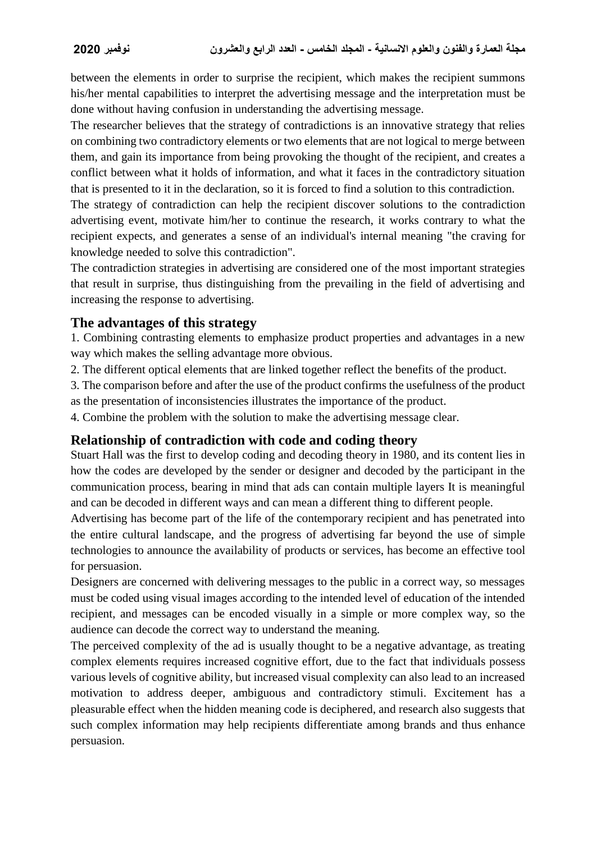between the elements in order to surprise the recipient, which makes the recipient summons his/her mental capabilities to interpret the advertising message and the interpretation must be done without having confusion in understanding the advertising message.

The researcher believes that the strategy of contradictions is an innovative strategy that relies on combining two contradictory elements or two elements that are not logical to merge between them, and gain its importance from being provoking the thought of the recipient, and creates a conflict between what it holds of information, and what it faces in the contradictory situation that is presented to it in the declaration, so it is forced to find a solution to this contradiction.

The strategy of contradiction can help the recipient discover solutions to the contradiction advertising event, motivate him/her to continue the research, it works contrary to what the recipient expects, and generates a sense of an individual's internal meaning "the craving for knowledge needed to solve this contradiction".

The contradiction strategies in advertising are considered one of the most important strategies that result in surprise, thus distinguishing from the prevailing in the field of advertising and increasing the response to advertising.

#### **The advantages of this strategy**

1. Combining contrasting elements to emphasize product properties and advantages in a new way which makes the selling advantage more obvious.

2. The different optical elements that are linked together reflect the benefits of the product.

3. The comparison before and after the use of the product confirms the usefulness of the product as the presentation of inconsistencies illustrates the importance of the product.

4. Combine the problem with the solution to make the advertising message clear.

# **Relationship of contradiction with code and coding theory**

Stuart Hall was the first to develop coding and decoding theory in 1980, and its content lies in how the codes are developed by the sender or designer and decoded by the participant in the communication process, bearing in mind that ads can contain multiple layers It is meaningful and can be decoded in different ways and can mean a different thing to different people.

Advertising has become part of the life of the contemporary recipient and has penetrated into the entire cultural landscape, and the progress of advertising far beyond the use of simple technologies to announce the availability of products or services, has become an effective tool for persuasion.

Designers are concerned with delivering messages to the public in a correct way, so messages must be coded using visual images according to the intended level of education of the intended recipient, and messages can be encoded visually in a simple or more complex way, so the audience can decode the correct way to understand the meaning.

The perceived complexity of the ad is usually thought to be a negative advantage, as treating complex elements requires increased cognitive effort, due to the fact that individuals possess various levels of cognitive ability, but increased visual complexity can also lead to an increased motivation to address deeper, ambiguous and contradictory stimuli. Excitement has a pleasurable effect when the hidden meaning code is deciphered, and research also suggests that such complex information may help recipients differentiate among brands and thus enhance persuasion.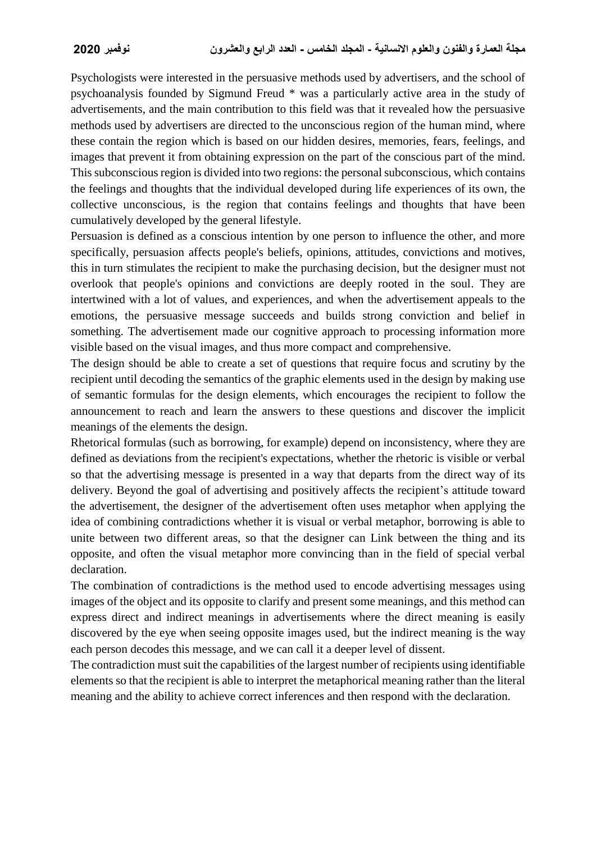Psychologists were interested in the persuasive methods used by advertisers, and the school of psychoanalysis founded by Sigmund Freud \* was a particularly active area in the study of advertisements, and the main contribution to this field was that it revealed how the persuasive methods used by advertisers are directed to the unconscious region of the human mind, where these contain the region which is based on our hidden desires, memories, fears, feelings, and images that prevent it from obtaining expression on the part of the conscious part of the mind. This subconscious region is divided into two regions: the personal subconscious, which contains the feelings and thoughts that the individual developed during life experiences of its own, the collective unconscious, is the region that contains feelings and thoughts that have been cumulatively developed by the general lifestyle.

Persuasion is defined as a conscious intention by one person to influence the other, and more specifically, persuasion affects people's beliefs, opinions, attitudes, convictions and motives, this in turn stimulates the recipient to make the purchasing decision, but the designer must not overlook that people's opinions and convictions are deeply rooted in the soul. They are intertwined with a lot of values, and experiences, and when the advertisement appeals to the emotions, the persuasive message succeeds and builds strong conviction and belief in something. The advertisement made our cognitive approach to processing information more visible based on the visual images, and thus more compact and comprehensive.

The design should be able to create a set of questions that require focus and scrutiny by the recipient until decoding the semantics of the graphic elements used in the design by making use of semantic formulas for the design elements, which encourages the recipient to follow the announcement to reach and learn the answers to these questions and discover the implicit meanings of the elements the design.

Rhetorical formulas (such as borrowing, for example) depend on inconsistency, where they are defined as deviations from the recipient's expectations, whether the rhetoric is visible or verbal so that the advertising message is presented in a way that departs from the direct way of its delivery. Beyond the goal of advertising and positively affects the recipient's attitude toward the advertisement, the designer of the advertisement often uses metaphor when applying the idea of combining contradictions whether it is visual or verbal metaphor, borrowing is able to unite between two different areas, so that the designer can Link between the thing and its opposite, and often the visual metaphor more convincing than in the field of special verbal declaration.

The combination of contradictions is the method used to encode advertising messages using images of the object and its opposite to clarify and present some meanings, and this method can express direct and indirect meanings in advertisements where the direct meaning is easily discovered by the eye when seeing opposite images used, but the indirect meaning is the way each person decodes this message, and we can call it a deeper level of dissent.

The contradiction must suit the capabilities of the largest number of recipients using identifiable elements so that the recipient is able to interpret the metaphorical meaning rather than the literal meaning and the ability to achieve correct inferences and then respond with the declaration.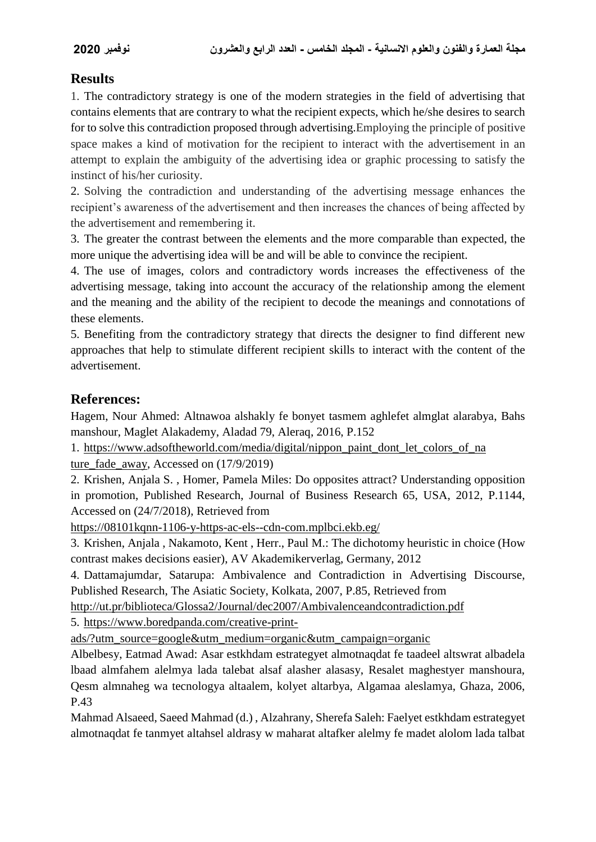# **Results**

1. The contradictory strategy is one of the modern strategies in the field of advertising that contains elements that are contrary to what the recipient expects, which he/she desires to search for to solve this contradiction proposed through advertising.Employing the principle of positive space makes a kind of motivation for the recipient to interact with the advertisement in an attempt to explain the ambiguity of the advertising idea or graphic processing to satisfy the instinct of his/her curiosity.

2. Solving the contradiction and understanding of the advertising message enhances the recipient's awareness of the advertisement and then increases the chances of being affected by the advertisement and remembering it.

3. The greater the contrast between the elements and the more comparable than expected, the more unique the advertising idea will be and will be able to convince the recipient.

4. The use of images, colors and contradictory words increases the effectiveness of the advertising message, taking into account the accuracy of the relationship among the element and the meaning and the ability of the recipient to decode the meanings and connotations of these elements.

5. Benefiting from the contradictory strategy that directs the designer to find different new approaches that help to stimulate different recipient skills to interact with the content of the advertisement.

# **References:**

Hagem, Nour Ahmed: Altnawoa alshakly fe bonyet tasmem aghlefet almglat alarabya, Bahs manshour, Maglet Alakademy, Aladad 79, Aleraq, 2016, P.152

1. https://www.adsoftheworld.com/media/digital/nippon\_paint\_dont\_let\_colors\_of\_na ture fade away, Accessed on (17/9/2019)

2. Krishen, Anjala S. , Homer, Pamela Miles: Do opposites attract? Understanding opposition in promotion, Published Research, Journal of Business Research 65, USA, 2012, P.1144, Accessed on (24/7/2018), Retrieved from

https://08101kqnn-1106-y-https-ac-els--cdn-com.mplbci.ekb.eg/

3. Krishen, Anjala , Nakamoto, Kent , Herr., Paul M.: The dichotomy heuristic in choice (How contrast makes decisions easier), AV Akademikerverlag, Germany, 2012

4. Dattamajumdar, Satarupa: Ambivalence and Contradiction in Advertising Discourse, Published Research, The Asiatic Society, Kolkata, 2007, P.85, Retrieved from

http://ut.pr/biblioteca/Glossa2/Journal/dec2007/Ambivalenceandcontradiction.pdf

5. https://www.boredpanda.com/creative-print-

ads/?utm\_source=google&utm\_medium=organic&utm\_campaign=organic

Albelbesy, Eatmad Awad: Asar estkhdam estrategyet almotnaqdat fe taadeel altswrat albadela lbaad almfahem alelmya lada talebat alsaf alasher alasasy, Resalet maghestyer manshoura, Qesm almnaheg wa tecnologya altaalem, kolyet altarbya, Algamaa aleslamya, Ghaza, 2006, P.43

Mahmad Alsaeed, Saeed Mahmad (d.) , Alzahrany, Sherefa Saleh: Faelyet estkhdam estrategyet almotnaqdat fe tanmyet altahsel aldrasy w maharat altafker alelmy fe madet alolom lada talbat